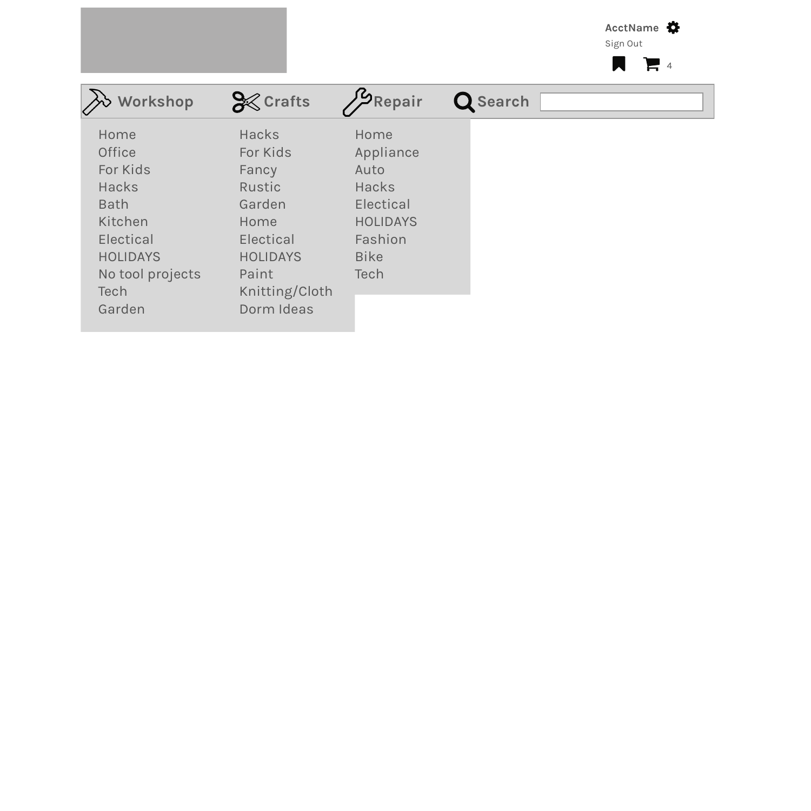AcctName

Sign Out

| Workshop                                                                                                                                                        | <b>S</b> Crafts                                                                                                                        | <b>SP</b> Repair                                                                                                          | Q Search |  |
|-----------------------------------------------------------------------------------------------------------------------------------------------------------------|----------------------------------------------------------------------------------------------------------------------------------------|---------------------------------------------------------------------------------------------------------------------------|----------|--|
| Home<br><b>Office</b><br>For Kids<br><b>Hacks</b><br><b>Bath</b><br>Kitchen<br><b>Electical</b><br><b>HOLIDAYS</b><br>No tool projects<br><b>Tech</b><br>Garden | <b>Hacks</b><br>For Kids<br>Fancy<br>Rustic<br>Garden<br>Home<br>Electical<br><b>HOLIDAYS</b><br>Paint<br>Knitting/Cloth<br>Dorm Ideas | Home<br>Appliance<br>Auto<br><b>Hacks</b><br><b>Electical</b><br><b>HOLIDAYS</b><br>Fashion<br><b>Bike</b><br><b>Tech</b> |          |  |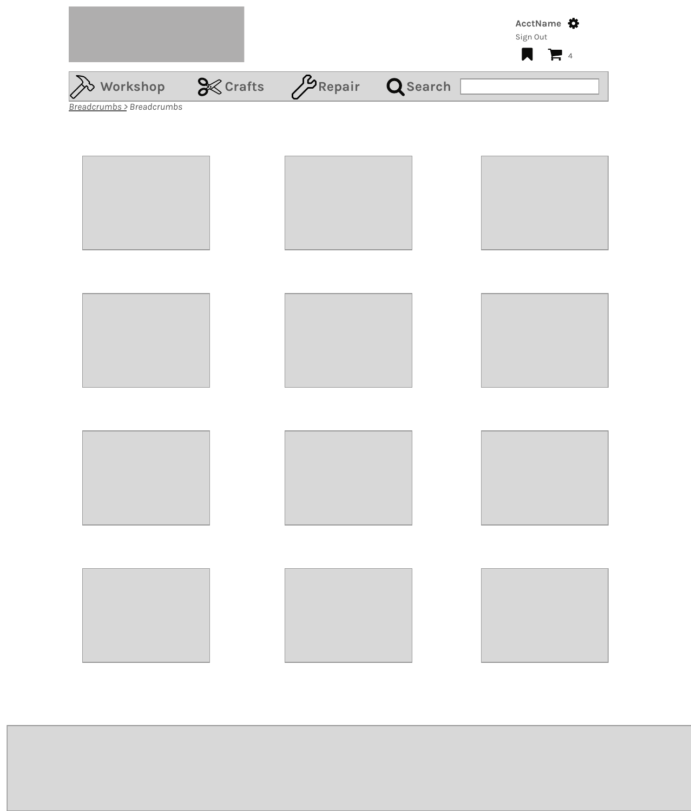



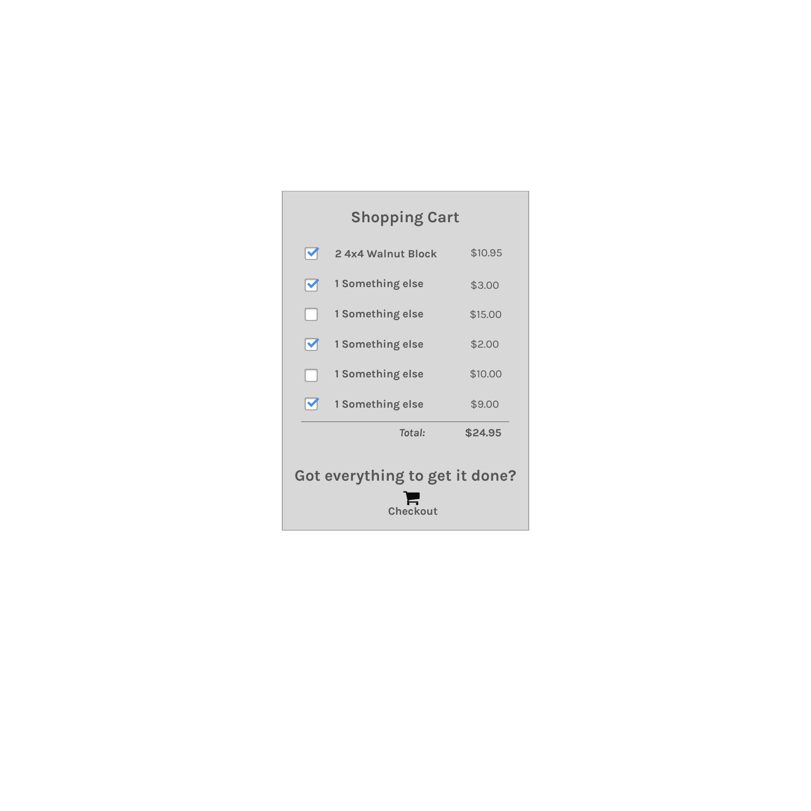### **Shopping Cart**

| Got everything to get it done?<br><b>Checkout</b> |                          |                    |         |
|---------------------------------------------------|--------------------------|--------------------|---------|
|                                                   |                          | Total:             | \$24.95 |
|                                                   | M                        | 1 Something else   | \$9.00  |
|                                                   | $\overline{\phantom{a}}$ | 1 Something else   | \$10.00 |
|                                                   | M                        | 1 Something else   | \$2.00  |
|                                                   |                          | 1 Something else   | \$15.00 |
|                                                   | V                        | 1 Something else   | \$3.00  |
|                                                   |                          | 2 4x4 Walnut Block | \$10.95 |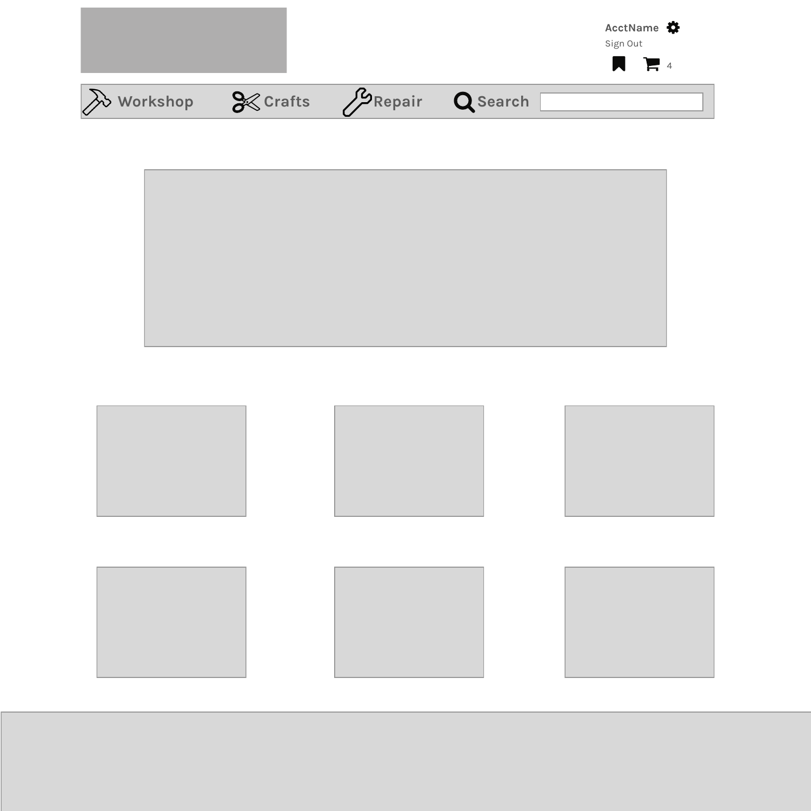|                   |             |                 | AcctName<br>Sign Out |
|-------------------|-------------|-----------------|----------------------|
|                   |             |                 | $\blacksquare$       |
| <b>B</b> Workshop | $\%$ Crafts | Repair Q Search |                      |

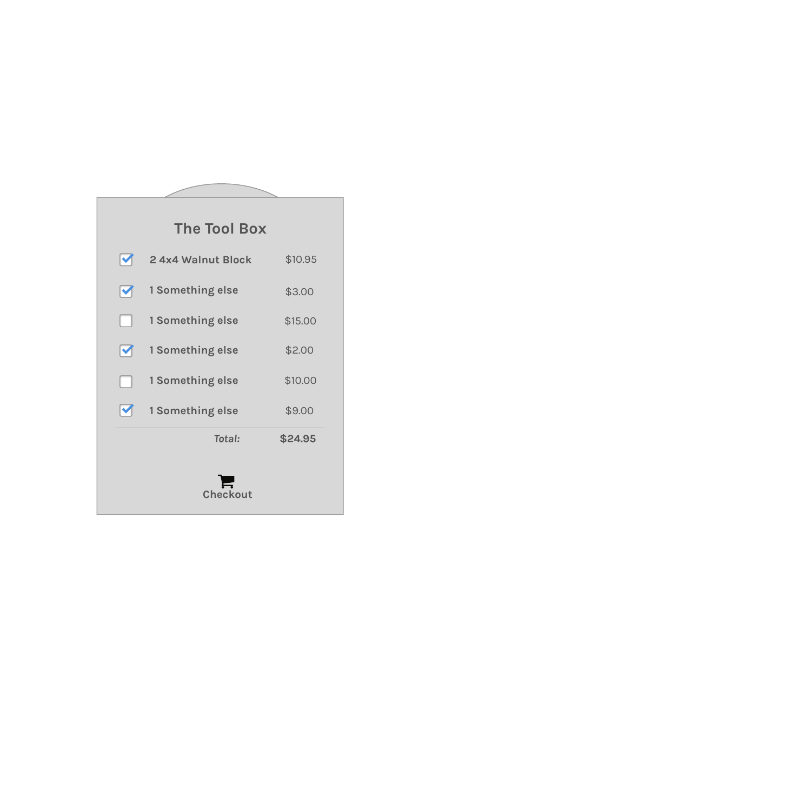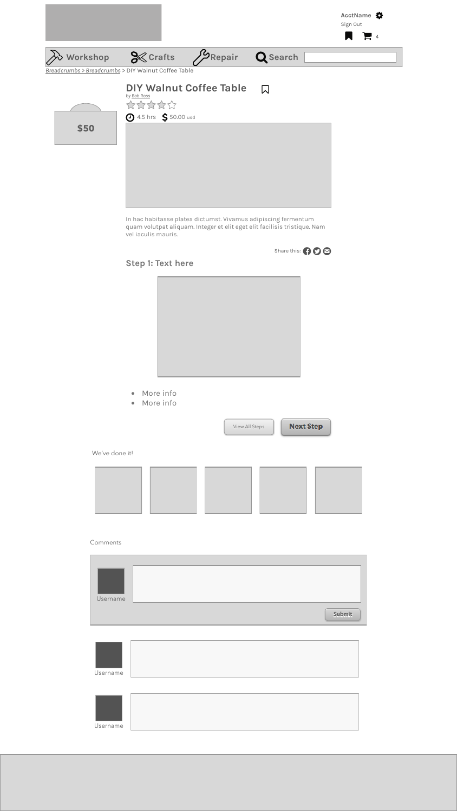In hac habitasse platea dictumst. Vivamus adipiscing fermentum quam volutpat aliquam. Integer et elit eget elit facilisis tristique. Nam vel iaculis mauris.

**Step 1: Text here**



- More info
- More info

#### Comments



| Username |        |
|----------|--------|
|          |        |
|          | Submit |

| Username |  |
|----------|--|
|          |  |





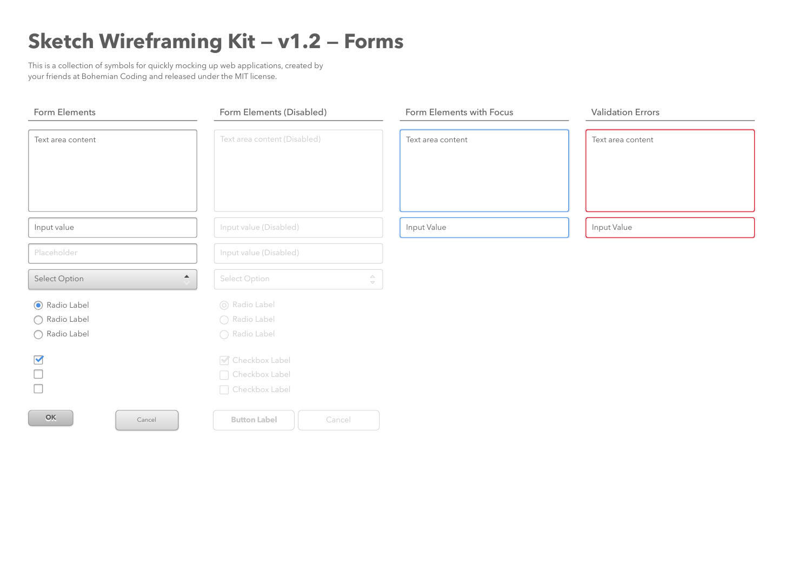## **Sketch Wireframing Kit — v1.2 — Forms**

This is a collection of symbols for quickly mocking up web applications, created by your friends at Bohemian Coding and released under the MIT license.



| <b>Form Elements</b>      | Form Elements (Disabled)                 | Form Elements with Focus           |
|---------------------------|------------------------------------------|------------------------------------|
| Text area content         | Text area content (Disabled)             | Text area content                  |
|                           |                                          |                                    |
| Input value               | Input value (Disabled)                   | Input Value                        |
| Placeholder               | Input value (Disabled)                   |                                    |
| <b>Select Option</b>      | $\blacktriangle$<br><b>Select Option</b> | $\triangle$<br>$\overline{\nabla}$ |
| Radio Label<br>$\bigodot$ | O Radio Label                            |                                    |
| Radio Label               | ◯ Radio Label                            |                                    |
| Radio Label               | Radio Label                              |                                    |
| $\blacktriangledown$      | ■ Checkbox Label                         |                                    |
|                           | Checkbox Label                           |                                    |
|                           | Checkbox Label                           |                                    |
| OK<br>Cancel              | <b>Button Label</b><br>Cancel            |                                    |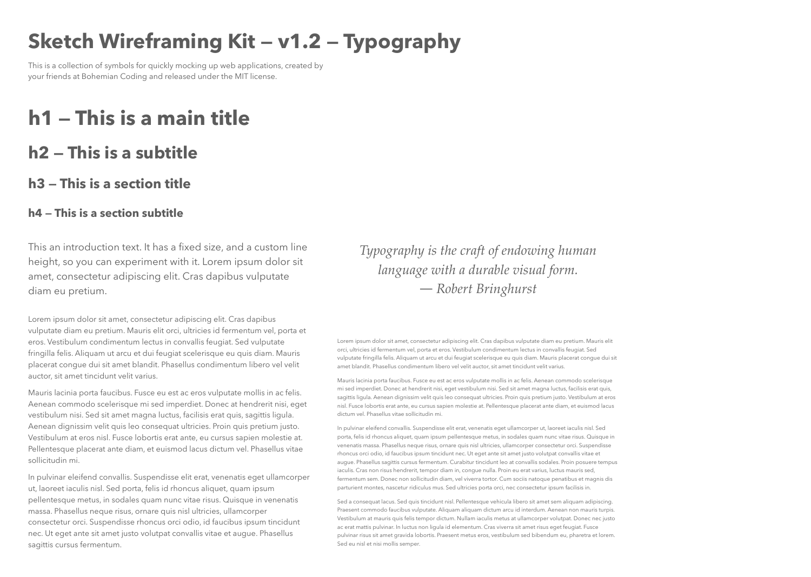## **h1 — This is a main title**

## **h2 — This is a subtitle**

## **h3 — This is a section title**

#### **h4 — This is a section subtitle**

# **Sketch Wireframing Kit — v1.2 — Typography**

This is a collection of symbols for quickly mocking up web applications, created by your friends at Bohemian Coding and released under the MIT license.

Lorem ipsum dolor sit amet, consectetur adipiscing elit. Cras dapibus vulputate diam eu pretium. Mauris elit orci, ultricies id fermentum vel, porta et eros. Vestibulum condimentum lectus in convallis feugiat. Sed vulputate fringilla felis. Aliquam ut arcu et dui feugiat scelerisque eu quis diam. Mauris placerat congue dui sit amet blandit. Phasellus condimentum libero vel velit auctor, sit amet tincidunt velit varius.

Mauris lacinia porta faucibus. Fusce eu est ac eros vulputate mollis in ac felis. Aenean commodo scelerisque mi sed imperdiet. Donec at hendrerit nisi, eget vestibulum nisi. Sed sit amet magna luctus, facilisis erat quis, sagittis ligula. Aenean dignissim velit quis leo consequat ultricies. Proin quis pretium justo. Vestibulum at eros nisl. Fusce lobortis erat ante, eu cursus sapien molestie at. Pellentesque placerat ante diam, et euismod lacus dictum vel. Phasellus vitae sollicitudin mi.

In pulvinar eleifend convallis. Suspendisse elit erat, venenatis eget ullamcorper ut, laoreet iaculis nisl. Sed porta, felis id rhoncus aliquet, quam ipsum pellentesque metus, in sodales quam nunc vitae risus. Quisque in venenatis massa. Phasellus neque risus, ornare quis nisl ultricies, ullamcorper consectetur orci. Suspendisse rhoncus orci odio, id faucibus ipsum tincidunt nec. Ut eget ante sit amet justo volutpat convallis vitae et augue. Phasellus sagittis cursus fermentum.

Lorem ipsum dolor sit amet, consectetur adipiscing elit. Cras dapibus vulputate diam eu pretium. Mauris elit orci, ultricies id fermentum vel, porta et eros. Vestibulum condimentum lectus in convallis feugiat. Sed vulputate fringilla felis. Aliquam ut arcu et dui feugiat scelerisque eu quis diam. Mauris placerat congue dui sit amet blandit. Phasellus condimentum libero vel velit auctor, sit amet tincidunt velit varius.

Mauris lacinia porta faucibus. Fusce eu est ac eros vulputate mollis in ac felis. Aenean commodo scelerisque mi sed imperdiet. Donec at hendrerit nisi, eget vestibulum nisi. Sed sit amet magna luctus, facilisis erat quis, sagittis ligula. Aenean dignissim velit quis leo consequat ultricies. Proin quis pretium justo. Vestibulum at eros nisl. Fusce lobortis erat ante, eu cursus sapien molestie at. Pellentesque placerat ante diam, et euismod lacus dictum vel. Phasellus vitae sollicitudin mi.

In pulvinar eleifend convallis. Suspendisse elit erat, venenatis eget ullamcorper ut, laoreet iaculis nisl. Sed porta, felis id rhoncus aliquet, quam ipsum pellentesque metus, in sodales quam nunc vitae risus. Quisque in venenatis massa. Phasellus neque risus, ornare quis nisl ultricies, ullamcorper consectetur orci. Suspendisse rhoncus orci odio, id faucibus ipsum tincidunt nec. Ut eget ante sit amet justo volutpat convallis vitae et augue. Phasellus sagittis cursus fermentum. Curabitur tincidunt leo at convallis sodales. Proin posuere tempus iaculis. Cras non risus hendrerit, tempor diam in, congue nulla. Proin eu erat varius, luctus mauris sed, fermentum sem. Donec non sollicitudin diam, vel viverra tortor. Cum sociis natoque penatibus et magnis dis parturient montes, nascetur ridiculus mus. Sed ultricies porta orci, nec consectetur ipsum facilisis in.

Sed a consequat lacus. Sed quis tincidunt nisl. Pellentesque vehicula libero sit amet sem aliquam adipiscing. Praesent commodo faucibus vulputate. Aliquam aliquam dictum arcu id interdum. Aenean non mauris turpis. Vestibulum at mauris quis felis tempor dictum. Nullam iaculis metus at ullamcorper volutpat. Donec nec justo ac erat mattis pulvinar. In luctus non ligula id elementum. Cras viverra sit amet risus eget feugiat. Fusce pulvinar risus sit amet gravida lobortis. Praesent metus eros, vestibulum sed bibendum eu, pharetra et lorem. Sed eu nisl et nisi mollis semper.

This an introduction text. It has a fixed size, and a custom line height, so you can experiment with it. Lorem ipsum dolor sit amet, consectetur adipiscing elit. Cras dapibus vulputate diam eu pretium.

*Typography is the craft of endowing human language with a durable visual form.*  ― *Robert Bringhurst*